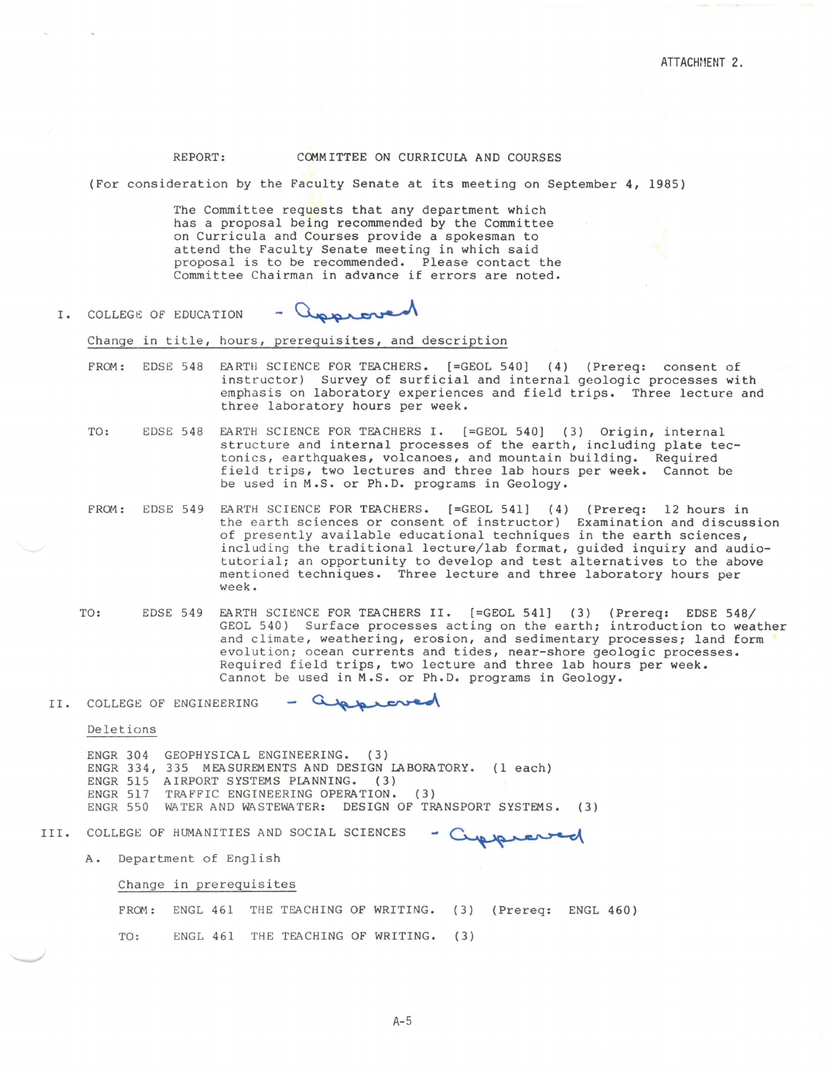### REPORT: COMMITTEE ON CURRICULA AND COURSES

(For consideration by the Faculty Senate at its meeting on September 4, 1985)

The Committee requests that any department which has a proposal being recommended by the Committee on Curricula and Courses provide a spokesman to attend the Faculty Senate meeting in which said proposal is to be recommended. Please contact the Committee Chairman in advance if errors are noted.

- approved I. COLLEGE OF EDUCATION

#### Change in title, hours, prerequisites, and description

- FRCM: EDSE 548 EARTH SCIENCE FOR TEACHERS. [=GEOL 540) (4) (Prereq: consent of instructor) Survey of surficial and internal geologic processes with emphasis on laboratory experiences and field trips. Three lecture and three laboratory hours per week.
- TO: EDSE 548 EARTH SCIENCE FOR TEACHERS I. [=GEOL 540) (3) Origin, internal structure and internal processes of the earth, including plate tectonics, earthquakes, volcanoes, and mountain building. Required field trips, two lectures and three lab hours per week. Cannot be be used in M.S. or Ph.D. programs in Geology.
- FROM: EDSE 549 EARTH SCIENCE FOR TEACHERS. [=GEOL 541) (4) (Prereq: 12 hours in the earth sciences or consent of instructor) Examination and discussion of presently available educational techniques in the earth sciences, including the traditional lecture/lab format, guided inquiry and audiotutorial; an opportunity to develop and test alternatives to the above mentioned techniques. Three lecture and three laboratory hours per week.
- TO: EDSE 549 EARTH SCIENCE FOR TEACHERS II. [=GEOL 541) (3) (Prereq: EDSE 548/ GEOL 540) Surface processes acting on the earth; introduction to weather and climate, weathering, erosion, and sedimentary processes; land form evolution; ocean currents and tides, near-shore geologic processes. Required field trips, two lecture and three lab hours per week. Cannot be used in M.S. or Ph.D. programs in Geology.

- approved II. COLLEGE OF ENGINEERING

Deletions

ENGR 304 GEOPHYSICAL ENGINEERING. (3) ENGR 334, 335 MEASUREMENTS AND DESIGN LABORATORY. (1 each) ENGR 515 AIRPORT SYSTEMS PLANNING. (3) ENGR 517 ENGR 550 WATER AND WASTEWATER: DESIGN OF TRANSPORT SYSTEMS. ( 3) TRAFFIC ENGINEERING OPERATION. (3) NEERING OPERATION. (3)<br>STEWATER: DESIGN OF TRANSPORT SYSTEMS. (3)<br>AND SOCIAL SCIENCES - Cupperanted

III. COLLEGE OF HUMANITIES

A. Department of English

Change in prerequisites

FROM: ENGL 461 THE TEACHING OF WRITING. (3) (Prereq: ENGL 460) TO: ENGL 461 THE TEACHING OF WRITING. (3)